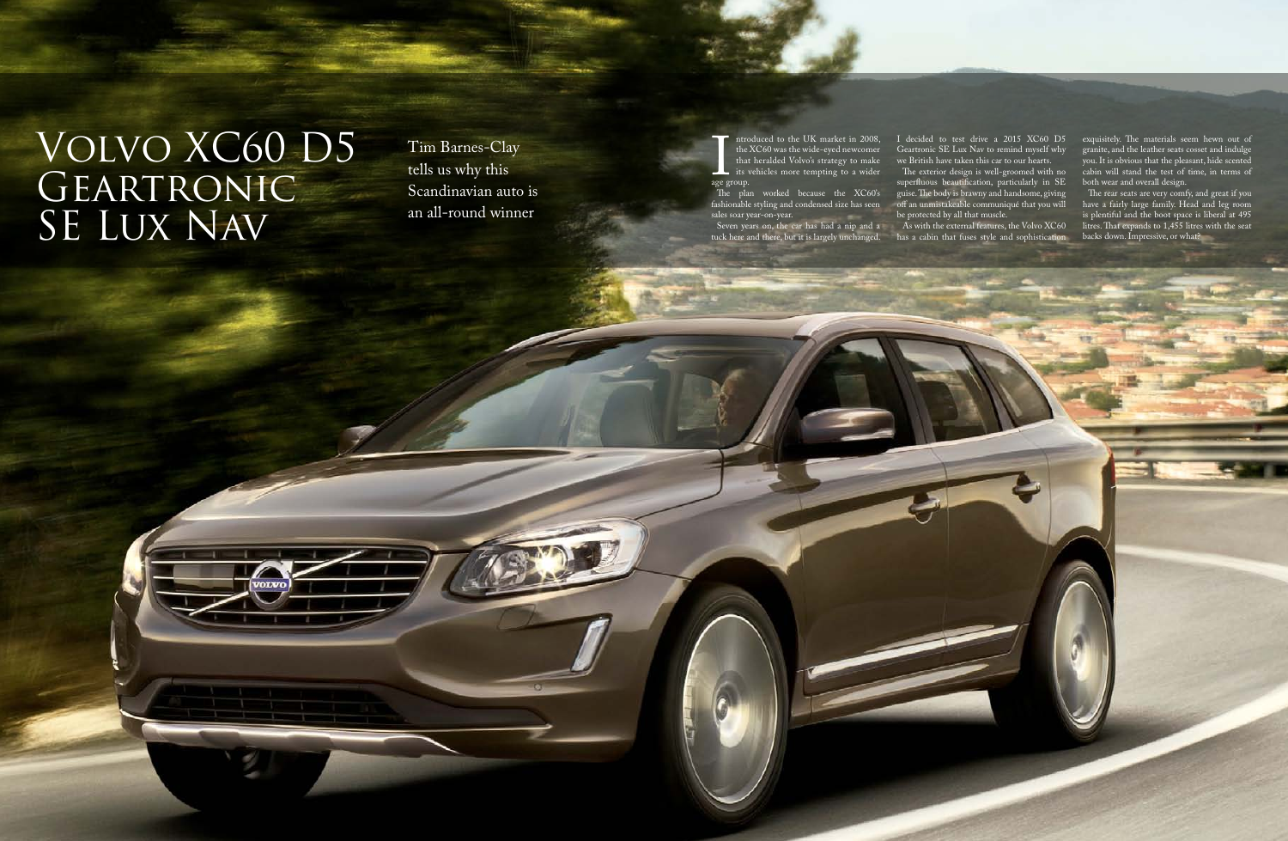Tim Barnes-Clay tells us why this Scandinavian auto is an all-round winner

ntroduced to the UK market in 2008, the XC60 was the wide-eyed newcomer that heralded Volvo's strategy to make its vehicles more tempting to a wider

age grade age group. The plan worked because the XC60's fashionable styling and condensed size has seen sales soar year-on-year.

Seven years on, the car has had a nip and a tuck here and there, but it is largely unchanged. I decided to test drive a 2015 XC60 D5 Geartronic SE Lux Nav to remind myself why we British have taken this car to our hearts.

The exterior design is well-groomed with no superfluous beautification, particularly in SE guise. The body is brawny and handsome, giving off an unmistakeable communiqué that you will be protected by all that muscle.

As with the external features, the Volvo XC60 has a cabin that fuses style and sophistication exquisitely. The materials seem hewn out of granite, and the leather seats cosset and indulge you. It is obvious that the pleasant, hide scented cabin will stand the test of time, in terms of both wear and overall design.

The rear seats are very comfy, and great if you have a fairly large family. Head and leg room is plentiful and the boot space is liberal at 495 litres. That expands to 1,455 litres with the seat backs down. Impressive, or what?

## Volvo XC60 D5 GEARTRONIC SE Lux Nav